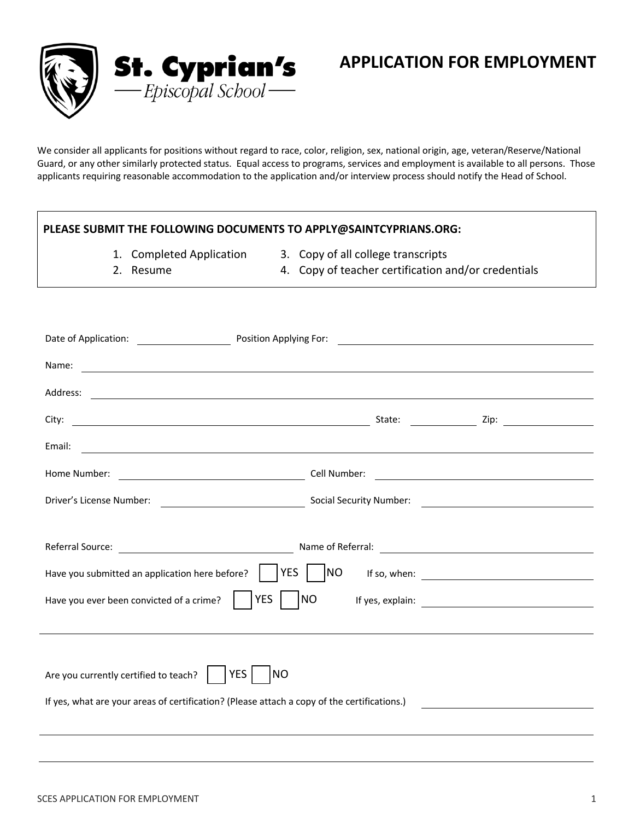

We consider all applicants for positions without regard to race, color, religion, sex, national origin, age, veteran/Reserve/National Guard, or any other similarly protected status. Equal access to programs, services and employment is available to all persons. Those applicants requiring reasonable accommodation to the application and/or interview process should notify the Head of School.

# **PLEASE SUBMIT THE FOLLOWING DOCUMENTS TO APPLY@SAINTCYPRIANS.ORG:**

- 1. Completed Application
- 3. Copy of all college transcripts
- 2. Resume
- 4. Copy of teacher certification and/or credentials

| Name:                                                                                       | <u> Andreas Andreas Andreas Andreas Andreas Andreas Andreas Andreas Andreas Andreas Andreas Andreas Andreas Andr</u>                                                                                                                |
|---------------------------------------------------------------------------------------------|-------------------------------------------------------------------------------------------------------------------------------------------------------------------------------------------------------------------------------------|
|                                                                                             |                                                                                                                                                                                                                                     |
|                                                                                             |                                                                                                                                                                                                                                     |
| Email:                                                                                      | <u> 1999 - Johann Harry Harry Harry Harry Harry Harry Harry Harry Harry Harry Harry Harry Harry Harry Harry Harry</u>                                                                                                               |
|                                                                                             |                                                                                                                                                                                                                                     |
|                                                                                             |                                                                                                                                                                                                                                     |
|                                                                                             |                                                                                                                                                                                                                                     |
|                                                                                             | Referral Source: <u>Network: All and Source: Name of Referral:</u> Name of Referral: Name of Referral: Name of Referral: Name of Referral: Name of Referral: Name of Referral: Name of Referral: Name of Referral: Name of Referral |
| Have you submitted an application here before?                                              | <b>YES</b><br><b>NO</b>                                                                                                                                                                                                             |
| Have you ever been convicted of a crime?                                                    | <b>YES</b><br>N <sub>O</sub>                                                                                                                                                                                                        |
|                                                                                             |                                                                                                                                                                                                                                     |
|                                                                                             |                                                                                                                                                                                                                                     |
| Are you currently certified to teach? $\vert$                                               | <b>YES</b><br><b>NO</b>                                                                                                                                                                                                             |
| If yes, what are your areas of certification? (Please attach a copy of the certifications.) |                                                                                                                                                                                                                                     |
|                                                                                             |                                                                                                                                                                                                                                     |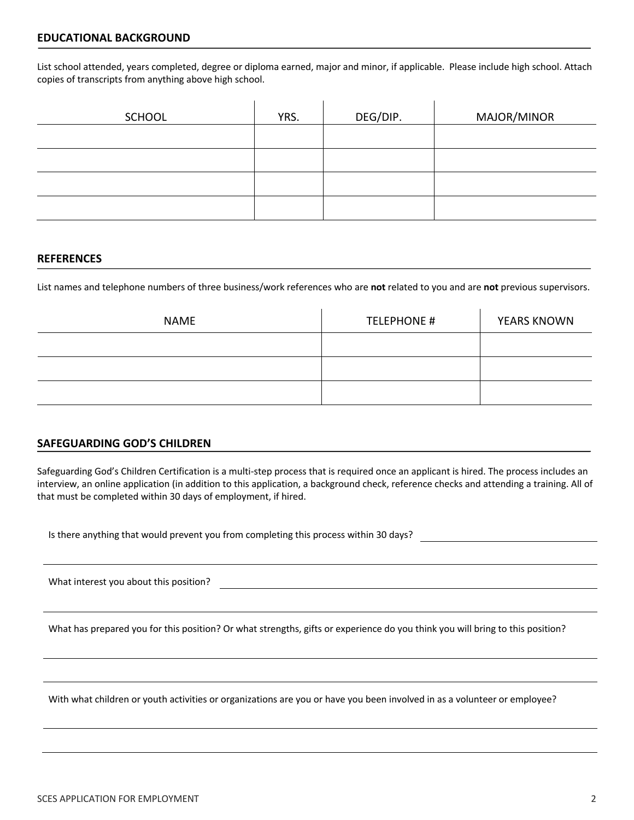List school attended, years completed, degree or diploma earned, major and minor, if applicable. Please include high school. Attach copies of transcripts from anything above high school.

| <b>SCHOOL</b> | YRS. | DEG/DIP. | MAJOR/MINOR |
|---------------|------|----------|-------------|
|               |      |          |             |
|               |      |          |             |
|               |      |          |             |
|               |      |          |             |

#### **REFERENCES**

List names and telephone numbers of three business/work references who are **not** related to you and are **not** previous supervisors.

| <b>NAME</b> | <b>TELEPHONE #</b> | <b>YEARS KNOWN</b> |  |
|-------------|--------------------|--------------------|--|
|             |                    |                    |  |
|             |                    |                    |  |
|             |                    |                    |  |

## **SAFEGUARDING GOD'S CHILDREN**

Safeguarding God's Children Certification is a multi-step process that is required once an applicant is hired. The process includes an interview, an online application (in addition to this application, a background check, reference checks and attending a training. All of that must be completed within 30 days of employment, if hired.

Is there anything that would prevent you from completing this process within 30 days?

What interest you about this position?

What has prepared you for this position? Or what strengths, gifts or experience do you think you will bring to this position?

With what children or youth activities or organizations are you or have you been involved in as a volunteer or employee?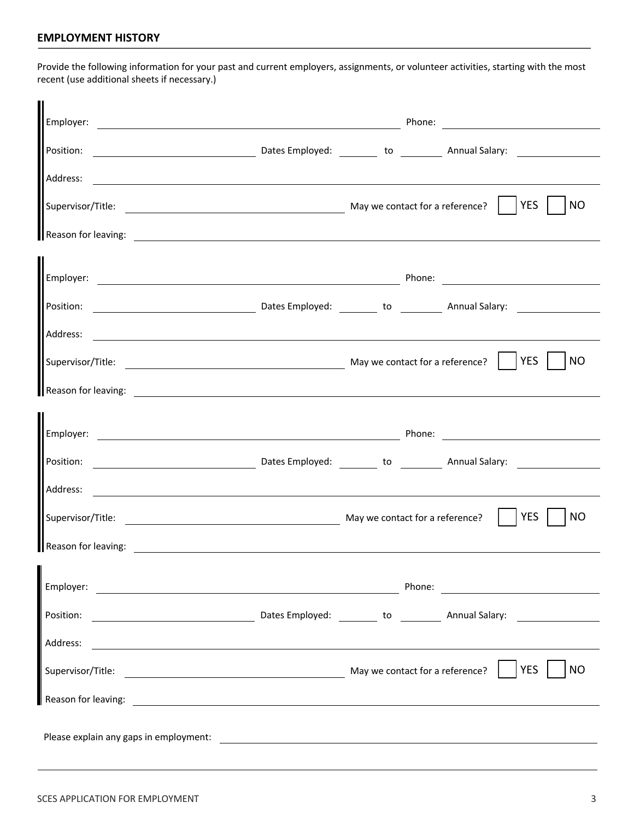## **EMPLOYMENT HISTORY**

Provide the following information for your past and current employers, assignments, or volunteer activities, starting with the most recent (use additional sheets if necessary.)

| Address:                                                                                                                                                                                                                             |                                                                                                                                |
|--------------------------------------------------------------------------------------------------------------------------------------------------------------------------------------------------------------------------------------|--------------------------------------------------------------------------------------------------------------------------------|
|                                                                                                                                                                                                                                      | NO                                                                                                                             |
| Reason for leaving: <u>contract the contract of the contract of the contract of the contract of the contract of the contract of the contract of the contract of the contract of the contract of the contract of the contract of </u> |                                                                                                                                |
|                                                                                                                                                                                                                                      |                                                                                                                                |
|                                                                                                                                                                                                                                      |                                                                                                                                |
|                                                                                                                                                                                                                                      |                                                                                                                                |
|                                                                                                                                                                                                                                      | <b>NO</b>                                                                                                                      |
| Reason for leaving: 2008 and 2008 and 2008 and 2008 and 2008 and 2008 and 2008 and 2008 and 2008 and 2008 and 2008 and 2008 and 2008 and 2008 and 2008 and 2008 and 2008 and 2008 and 2008 and 2008 and 2008 and 2008 and 2008       |                                                                                                                                |
|                                                                                                                                                                                                                                      |                                                                                                                                |
|                                                                                                                                                                                                                                      |                                                                                                                                |
|                                                                                                                                                                                                                                      |                                                                                                                                |
|                                                                                                                                                                                                                                      | <b>YES</b><br><b>NO</b>                                                                                                        |
| Reason for leaving: The Contract of the Contract of the Contract of the Contract of the Contract of the Contract of the Contract of the Contract of the Contract of the Contract of the Contract of the Contract of the Contra       |                                                                                                                                |
| Employer:<br><u> 1980 - Johann Barbara, martxa alemaniar argametria (h. 1980).</u>                                                                                                                                                   | Phone:<br><u> 1980 - Jan Barbara Barbara, prima popular popular popular popular popular popular popular popular popular po</u> |
| Position:                                                                                                                                                                                                                            | and Dates Employed: <u>and a contract of the same property of the set of the set of the set of the set of the set o</u>        |
| Address:                                                                                                                                                                                                                             |                                                                                                                                |
|                                                                                                                                                                                                                                      | <b>YES</b><br><b>NO</b>                                                                                                        |
|                                                                                                                                                                                                                                      |                                                                                                                                |
|                                                                                                                                                                                                                                      |                                                                                                                                |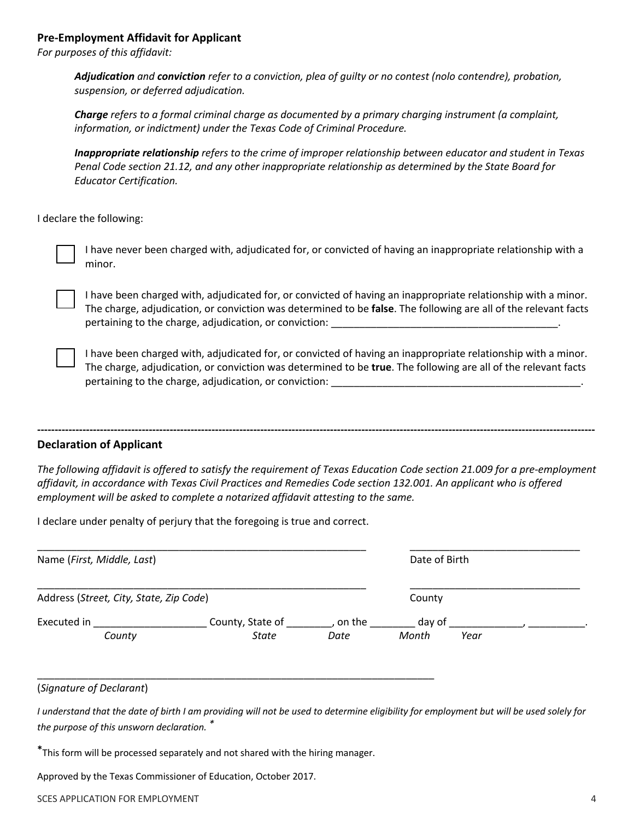### **Pre-Employment Affidavit for Applicant**

*For purposes of this affidavit:* 

*Adjudication and conviction refer to a conviction, plea of guilty or no contest (nolo contendre), probation, suspension, or deferred adjudication.* 

*Charge refers to a formal criminal charge as documented by a primary charging instrument (a complaint, information, or indictment) under the Texas Code of Criminal Procedure.* 

*Inappropriate relationship refers to the crime of improper relationship between educator and student in Texas Penal Code section 21.12, and any other inappropriate relationship as determined by the State Board for Educator Certification.* 

I declare the following:

I have never been charged with, adjudicated for, or convicted of having an inappropriate relationship with a minor.

I have been charged with, adjudicated for, or convicted of having an inappropriate relationship with a minor. The charge, adjudication, or conviction was determined to be **false**. The following are all of the relevant facts pertaining to the charge, adjudication, or conviction:

I have been charged with, adjudicated for, or convicted of having an inappropriate relationship with a minor. The charge, adjudication, or conviction was determined to be **true**. The following are all of the relevant facts pertaining to the charge, adjudication, or conviction:

#### **Declaration of Applicant**

*The following affidavit is offered to satisfy the requirement of Texas Education Code section 21.009 for a pre-employment affidavit, in accordance with Texas Civil Practices and Remedies Code section 132.001. An applicant who is offered employment will be asked to complete a notarized affidavit attesting to the same.* 

**----------------------------------------------------------------------------------------------------------------------------------------------------------------**

I declare under penalty of perjury that the foregoing is true and correct.

| Name (First, Middle, Last)              |                  | Date of Birth |        |      |  |  |
|-----------------------------------------|------------------|---------------|--------|------|--|--|
| Address (Street, City, State, Zip Code) |                  |               | County |      |  |  |
| Executed in                             | County, State of | on the        | day of |      |  |  |
| County                                  | <b>State</b>     | Date          | Month  | Year |  |  |

#### (*Signature of Declarant*)

*I understand that the date of birth I am providing will not be used to determine eligibility for employment but will be used solely for the purpose of this unsworn declaration. \** 

**\***This form will be processed separately and not shared with the hiring manager.

\_\_\_\_\_\_\_\_\_\_\_\_\_\_\_\_\_\_\_\_\_\_\_\_\_\_\_\_\_\_\_\_\_\_\_\_\_\_\_\_\_\_\_\_\_\_\_\_\_\_\_\_\_\_\_\_\_\_\_\_\_\_\_\_\_\_\_\_\_\_

Approved by the Texas Commissioner of Education, October 2017.

SCES APPLICATION FOR EMPLOYMENT 4